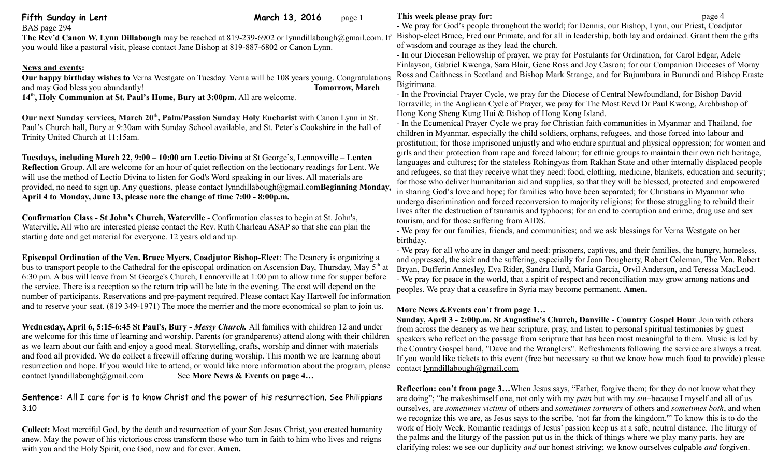| - We pray for God's people throughout the world; for Dennis, our Bishop, Lynn, our Priest, Coad<br>Bishop-elect Bruce, Fred our Primate, and for all in leadership, both lay and ordained. Grant then<br>of wisdom and courage as they lead the church.<br>Our happy birthday wishes to Verna Westgate on Tuesday. Verna will be 108 years young. Congratulations<br>Bigirimana.                                                                                                                                                                                                                                              |
|-------------------------------------------------------------------------------------------------------------------------------------------------------------------------------------------------------------------------------------------------------------------------------------------------------------------------------------------------------------------------------------------------------------------------------------------------------------------------------------------------------------------------------------------------------------------------------------------------------------------------------|
| - In our Diocesan Fellowship of prayer, we pray for Postulants for Ordination, for Carol Edgar, A<br>Finlayson, Gabriel Kwenga, Sara Blair, Gene Ross and Joy Casron; for our Companion Dioceses<br>Ross and Caithness in Scotland and Bishop Mark Strange, and for Bujumbura in Burundi and Bis<br>- In the Provincial Prayer Cycle, we pray for the Diocese of Central Newfoundland, for Bishop D                                                                                                                                                                                                                           |
|                                                                                                                                                                                                                                                                                                                                                                                                                                                                                                                                                                                                                               |
| Torraville; in the Anglican Cycle of Prayer, we pray for The Most Revd Dr Paul Kwong, Archbis                                                                                                                                                                                                                                                                                                                                                                                                                                                                                                                                 |
| Hong Kong Sheng Kung Hui & Bishop of Hong Kong Island.<br>- In the Ecumenical Prayer Cycle we pray for Christian faith communities in Myanmar and Thail<br>children in Myanmar, especially the child soldiers, orphans, refugees, and those forced into labour<br>prostitution; for those imprisoned unjustly and who endure spiritual and physical oppression; for                                                                                                                                                                                                                                                           |
| girls and their protection from rape and forced labour; for ethnic groups to maintain their own ric<br>languages and cultures; for the stateless Rohingyas from Rakhan State and other internally displa<br>and refugees, so that they receive what they need: food, clothing, medicine, blankets, education a<br>for those who deliver humanitarian aid and supplies, so that they will be blessed, protected and en<br>in sharing God's love and hope; for families who have been separated; for Christians in Myanma<br>undergo discrimination and forced reconversion to majority religions; for those struggling to rebu |
| lives after the destruction of tsunamis and typhoons; for an end to corruption and crime, drug use<br>tourism, and for those suffering from AIDS.<br>- We pray for our families, friends, and communities; and we ask blessings for Verna Westgate or<br>birthday.                                                                                                                                                                                                                                                                                                                                                            |
| - We pray for all who are in danger and need: prisoners, captives, and their families, the hungry, b<br>and oppressed, the sick and the suffering, especially for Joan Dougherty, Robert Coleman, The V<br>Bryan, Dufferin Annesley, Eva Rider, Sandra Hurd, Maria Garcia, Orvil Anderson, and Teressa M<br>- We pray for peace in the world, that a spirit of respect and reconciliation may grow among nation-<br>peoples. We pray that a ceasefire in Syria may become permanent. Amen.                                                                                                                                    |
| provided, no need to sign up. Any questions, please contact lynndillabough@gmail.comBeginning Monday,<br>bus to transport people to the Cathedral for the episcopal ordination on Ascension Day, Thursday, May 5 <sup>th</sup> at<br>6:30 pm. A bus will leave from St George's Church, Lennoxville at 1:00 pm to allow time for supper before<br>number of participants. Reservations and pre-payment required. Please contact Kay Hartwell for information                                                                                                                                                                  |

**Wednesday, April 6, 5:15-6:45 St Paul's, Bury** *- Messy Church.* All families with children 12 and under are welcome for this time of learning and worship. Parents (or grandparents) attend along with their children as we learn about our faith and enjoy a good meal. Storytelling, crafts, worship and dinner with materials and food all provided. We do collect a freewill offering during worship. This month we are learning about resurrection and hope. If you would like to attend, or would like more information about the program, please contact lynndillabough@gmail.com See More News & Events on page 4... See More News & Events on page 4...

## **Sentence:** All I care for is to know Christ and the power of his resurrection. See Philippians 3.10

**Collect:** Most merciful God, by the death and resurrection of your Son Jesus Christ, you created humanity anew. May the power of his victorious cross transform those who turn in faith to him who lives and reigns with you and the Holy Spirit, one God, now and for ever. **Amen.**

world; for Dennis, our Bishop, Lynn, our Priest, Coadjutor for all in leadership, both lay and ordained. Grant them the gifts of wisdom and courage as they lead the church.

pray for Postulants for Ordination, for Carol Edgar, Adele ne Ross and Joy Casron; for our Companion Dioceses of Moray Mark Strange, and for Bujumbura in Burundi and Bishop Eraste

or the Diocese of Central Newfoundland, for Bishop David we pray for The Most Revd Dr Paul Kwong, Archbishop of Hong Kong Island.

for Christian faith communities in Myanmar and Thailand, for oldiers, orphans, refugees, and those forced into labour and and who endure spiritual and physical oppression; for women and ced labour; for ethnic groups to maintain their own rich heritage, hingyas from Rakhan State and other internally displaced people reed: food, clothing, medicine, blankets, education and security; supplies, so that they will be blessed, protected and empowered is who have been separated; for Christians in Myanmar who rsion to majority religions; for those struggling to rebuild their lyphoons; for an end to corruption and crime, drug use and sex

ed: prisoners, captives, and their families, the hungry, homeless, specially for Joan Dougherty, Robert Coleman, The Ven. Robert ra Hurd, Maria Garcia, Orvil Anderson, and Teressa MacLeod. rit of respect and reconciliation may grow among nations and hay become permanent. **Amen.** 

## **More News &Events con't from page 1…**

**Sunday, April 3 - 2:00p.m. St Augustine's Church, Danville - Country Gospel Hour**. Join with others from across the deanery as we hear scripture, pray, and listen to personal spiritual testimonies by guest speakers who reflect on the passage from scripture that has been most meaningful to them. Music is led by the Country Gospel band, "Dave and the Wranglers". Refreshments following the service are always a treat. If you would like tickets to this event (free but necessary so that we know how much food to provide) please contact [lynndillabough@gmail.com](mailto:lynndillabough@gmail.com)

**Reflection: con't from page 3...** When Jesus says, "Father, forgive them; for they do not know what they are doing"; "he makeshimself one, not only with my *pain* but with my *sin–*because I myself and all of us ourselves, are *sometimes victims* of others and *sometimes torturers* of others and *sometimes both*, and when we recognize this we are, as Jesus says to the scribe, 'not far from the kingdom.'" To know this is to do the work of Holy Week. Romantic readings of Jesus' passion keep us at a safe, neutral distance. The liturgy of the palms and the liturgy of the passion put us in the thick of things where we play many parts. hey are clarifying roles: we see our duplicity *and* our honest striving; we know ourselves culpable *and* forgiven.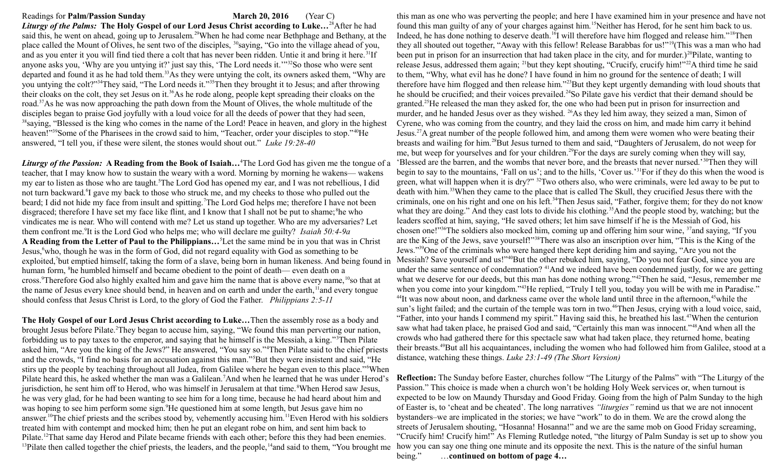## Readings for **Palm/Passion Sunday March 20, 2016** (Year C)

*Liturgy of the Palms:* **The Holy Gospel of our Lord Jesus Christ according to Luke…**<sup>28</sup>After he had said this, he went on ahead, going up to Jerusalem.<sup>29</sup>When he had come near Bethphage and Bethany, at the place called the Mount of Olives, he sent two of the disciples, <sup>30</sup>saying, "Go into the village ahead of you, and as you enter it you will find tied there a colt that has never been ridden. Untie it and bring it here.<sup>31</sup>If anyone asks you, 'Why are you untying it?' just say this, 'The Lord needs it.'"<sup>32</sup>So those who were sent departed and found it as he had told them.<sup>33</sup>As they were untying the colt, its owners asked them, "Why are you untying the colt?"<sup>34</sup>They said, "The Lord needs it."<sup>35</sup>Then they brought it to Jesus; and after throwing their cloaks on the colt, they set Jesus on it.<sup>36</sup>As he rode along, people kept spreading their cloaks on the road.<sup>37</sup>As he was now approaching the path down from the Mount of Olives, the whole multitude of the disciples began to praise God joyfully with a loud voice for all the deeds of power that they had seen, <sup>38</sup>saying, "Blessed is the king who comes in the name of the Lord! Peace in heaven, and glory in the highest heaven!"<sup>39</sup>Some of the Pharisees in the crowd said to him, "Teacher, order your disciples to stop."<sup>40</sup>He answered, "I tell you, if these were silent, the stones would shout out." *Luke 19:28-40*

*Liturgy of the Passion:* **A Reading from the Book of Isaiah…**<sup>4</sup>The Lord God has given me the tongue of a teacher, that I may know how to sustain the weary with a word. Morning by morning he wakens— wakens my ear to listen as those who are taught.<sup>5</sup>The Lord God has opened my ear, and I was not rebellious, I did not turn backward.<sup>6</sup>I gave my back to those who struck me, and my cheeks to those who pulled out the beard; I did not hide my face from insult and spitting.<sup>7</sup>The Lord God helps me; therefore I have not been disgraced; therefore I have set my face like flint, and I know that I shall not be put to shame; <sup>8</sup>he who vindicates me is near. Who will contend with me? Let us stand up together. Who are my adversaries? Let them confront me.<sup>9</sup> It is the Lord God who helps me; who will declare me guilty?*Isaiah 50:4-9a*  **A Reading from the Letter of Paul to the Philippians…**<sup>5</sup>Let the same mind be in you that was in Christ Jesus,<sup>6</sup>who, though he was in the form of God, did not regard equality with God as something to be exploited,<sup>7</sup>but emptied himself, taking the form of a slave, being born in human likeness. And being found in Messiah? Save yourself and us!"<sup>40</sup>But the other rebuked him, saying, "Do you not fear God, since you are human form, <sup>8</sup>he humbled himself and became obedient to the point of death— even death on a cross.<sup>9</sup>Therefore God also highly exalted him and gave him the name that is above every name,<sup>10</sup>so that at the name of Jesus every knee should bend, in heaven and on earth and under the earth,<sup>11</sup> and every tongue should confess that Jesus Christ is Lord, to the glory of God the Father. *Philippians 2:5-11* 

**The Holy Gospel of our Lord Jesus Christ according to Luke…**Then the assembly rose as a body and brought Jesus before Pilate.<sup>2</sup>They began to accuse him, saying, "We found this man perverting our nation, forbidding us to pay taxes to the emperor, and saying that he himself is the Messiah, a king."<sup>3</sup>Then Pilate asked him, "Are you the king of the Jews?" He answered, "You say so."<sup>4</sup>Then Pilate said to the chief priests and the crowds, "I find no basis for an accusation against this man."<sup>5</sup>But they were insistent and said, "He stirs up the people by teaching throughout all Judea, from Galilee where he began even to this place."<sup>6</sup>When Pilate heard this, he asked whether the man was a Galilean.<sup>7</sup>And when he learned that he was under Herod's jurisdiction, he sent him off to Herod, who was himself in Jerusalem at that time.<sup>8</sup>When Herod saw Jesus, he was very glad, for he had been wanting to see him for a long time, because he had heard about him and was hoping to see him perform some sign.<sup>9</sup>He questioned him at some length, but Jesus gave him no answer.<sup>10</sup>The chief priests and the scribes stood by, vehemently accusing him.<sup>11</sup>Even Herod with his soldiers treated him with contempt and mocked him; then he put an elegant robe on him, and sent him back to Pilate.<sup>12</sup>That same day Herod and Pilate became friends with each other; before this they had been enemies. <sup>13</sup>Pilate then called together the chief priests, the leaders, and the people,<sup>14</sup>and said to them, "You brought me how you can say one thing one minute and its opposite the next. This is the nature of the sinful human

this man as one who was perverting the people; and here I have examined him in your presence and have not found this man guilty of any of your charges against him.<sup>15</sup>Neither has Herod, for he sent him back to us. Indeed, he has done nothing to deserve death.<sup>16</sup>I will therefore have him flogged and release him."<sup>18</sup>Then they all shouted out together, "Away with this fellow! Release Barabbas for us!"<sup>19</sup>(This was a man who had been put in prison for an insurrection that had taken place in the city, and for murder.)<sup>20</sup>Pilate, wanting to release Jesus, addressed them again; <sup>21</sup>but they kept shouting, "Crucify, crucify him!"<sup>22</sup>A third time he said to them, "Why, what evil has he done? I have found in him no ground for the sentence of death; I will therefore have him flogged and then release him."<sup>23</sup>But they kept urgently demanding with loud shouts that he should be crucified; and their voices prevailed.<sup>24</sup>So Pilate gave his verdict that their demand should be granted.<sup>25</sup>He released the man they asked for, the one who had been put in prison for insurrection and murder, and he handed Jesus over as they wished. <sup>26</sup>As they led him away, they seized a man, Simon of Cyrene, who was coming from the country, and they laid the cross on him, and made him carry it behind Jesus.<sup>27</sup>A great number of the people followed him, and among them were women who were beating their breasts and wailing for him.<sup>28</sup>But Jesus turned to them and said, "Daughters of Jerusalem, do not weep for me, but weep for yourselves and for your children.<sup>29</sup>For the days are surely coming when they will say, 'Blessed are the barren, and the wombs that never bore, and the breasts that never nursed.'<sup>30</sup>Then they will begin to say to the mountains, 'Fall on us'; and to the hills, 'Cover us.'<sup>31</sup>For if they do this when the wood is green, what will happen when it is dry?"  $\frac{32}{100}$  others also, who were criminals, were led away to be put to death with him.<sup>33</sup>When they came to the place that is called The Skull, they crucified Jesus there with the criminals, one on his right and one on his left.<sup>34</sup>Then Jesus said, "Father, forgive them; for they do not know what they are doing." And they cast lots to divide his clothing.<sup>35</sup>And the people stood by, watching; but the leaders scoffed at him, saying, "He saved others; let him save himself if he is the Messiah of God, his chosen one!"<sup>36</sup>The soldiers also mocked him, coming up and offering him sour wine, <sup>37</sup>and saying, "If you are the King of the Jews, save yourself!"<sup>38</sup>There was also an inscription over him, "This is the King of the Jews."<sup>39</sup>One of the criminals who were hanged there kept deriding him and saying, "Are you not the under the same sentence of condemnation? <sup>41</sup>And we indeed have been condemned justly, for we are getting what we deserve for our deeds, but this man has done nothing wrong."<sup>42</sup>Then he said, "Jesus, remember me when you come into your kingdom."<sup>43</sup>He replied, "Truly I tell you, today you will be with me in Paradise."  $^{44}$ It was now about noon, and darkness came over the whole land until three in the afternoon,  $^{45}$ while the sun's light failed; and the curtain of the temple was torn in two.<sup>46</sup>Then Jesus, crying with a loud voice, said, "Father, into your hands I commend my spirit." Having said this, he breathed his last.<sup>47</sup>When the centurion saw what had taken place, he praised God and said, "Certainly this man was innocent."<sup>48</sup>And when all the crowds who had gathered there for this spectacle saw what had taken place, they returned home, beating their breasts.<sup>49</sup>But all his acquaintances, including the women who had followed him from Galilee, stood at a distance, watching these things. *Luke 23:1-49 (The Short Version)*

**Reflection:** The Sunday before Easter, churches follow "The Liturgy of the Palms" with "The Liturgy of the Passion." This choice is made when a church won't be holding Holy Week services or, when turnout is expected to be low on Maundy Thursday and Good Friday. Going from the high of Palm Sunday to the high of Easter is, to 'cheat and be cheated'. The long narratives *"liturgies"* remind us that we are not innocent bystanders–we are implicated in the stories; we have "work" to do in them. We are the crowd along the streets of Jerusalem shouting, "Hosanna! Hosanna!" and we are the same mob on Good Friday screaming, "Crucify him! Crucify him!" As [Fleming Rutledge](http://www.amazon.com/Undoing-Death-Sermons-Holy-Easter/dp/0802830218/ref=sr_1_1?ie=UTF8&s=books&qid=1269300512&sr=1-1) noted, "the liturgy of Palm Sunday is set up to show you being." …**continued on bottom of page 4…**